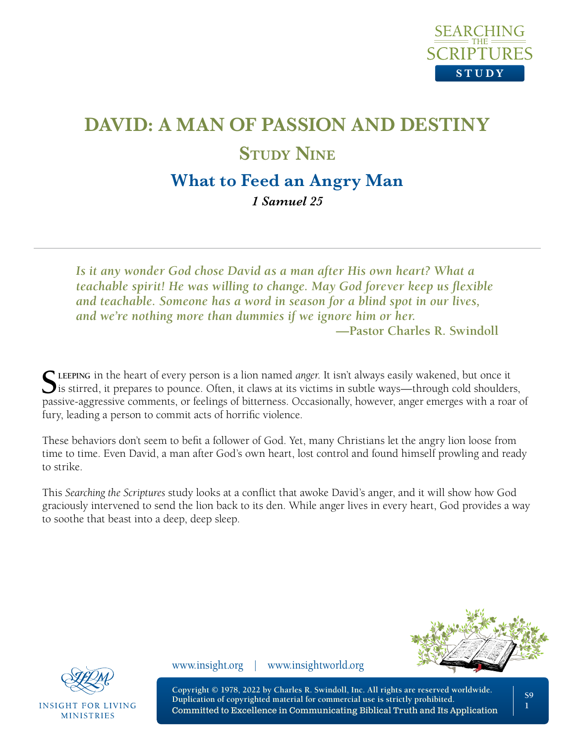

# **DAVID: A MAN OF PASSION AND DESTINY STUDY NINE What to Feed an Angry Man**

*1 Samuel 25* 

*Is it any wonder God chose David as a man after His own heart? What a teachable spirit! He was willing to change. May God forever keep us flexible and teachable. Someone has a word in season for a blind spot in our lives, and we're nothing more than dummies if we ignore him or her.*

**—Pastor Charles R. Swindoll**

**SLEEPING** in the heart of every person is a lion named *anger*. It isn't always easily wakened, but once it is stirred, it prepares to pounce. Often, it claws at its victims in subtle ways—through cold shoulders, passive-aggressive comments, or feelings of bitterness. Occasionally, however, anger emerges with a roar of fury, leading a person to commit acts of horrific violence.

These behaviors don't seem to befit a follower of God. Yet, many Christians let the angry lion loose from time to time. Even David, a man after God's own heart, lost control and found himself prowling and ready to strike.

This *Searching the Scriptures* study looks at a conflict that awoke David's anger, and it will show how God graciously intervened to send the lion back to its den. While anger lives in every heart, God provides a way to soothe that beast into a deep, deep sleep.





**INSIGHT FOR LIVING MINISTRIES** 

www.insight.org | www.insightworld.org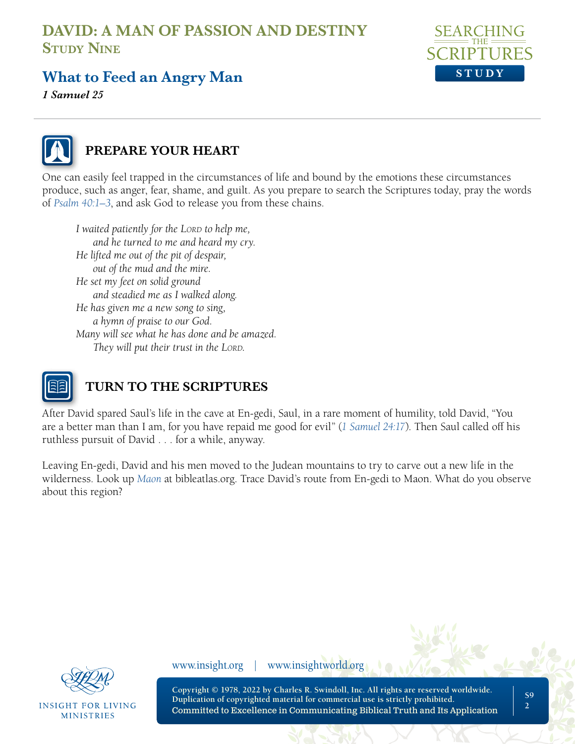

## **What to Feed an Angry Man**

*1 Samuel 25* 



### **PREPARE YOUR HEART**

One can easily feel trapped in the circumstances of life and bound by the emotions these circumstances produce, such as anger, fear, shame, and guilt. As you prepare to search the Scriptures today, pray the words of *[Psalm 40:1–3](https://www.biblegateway.com/passage/?search=Psalm%2040&version=NLT;NASB1995)*, and ask God to release you from these chains.

*I* waited patiently for the LORD to help me, *and he turned to me and heard my cry. He lifted me out of the pit of despair, out of the mud and the mire. He set my feet on solid ground and steadied me as I walked along. He has given me a new song to sing, a hymn of praise to our God. Many will see what he has done and be amazed. They will put their trust in the LORD.* 



### **TURN TO THE SCRIPTURES**

After David spared Saul's life in the cave at En-gedi, Saul, in a rare moment of humility, told David, "You are a better man than I am, for you have repaid me good for evil" (*[1 Samuel 24:17](https://www.biblegateway.com/passage/?search=1%20Samuel%2024%3A17&version=NLT;NASB1995)*). Then Saul called off his ruthless pursuit of David . . . for a while, anyway.

Leaving En-gedi, David and his men moved to the Judean mountains to try to carve out a new life in the wilderness. Look up *[Maon](https://bibleatlas.org/full/maon.htm)* at bibleatlas.org. Trace David's route from En-gedi to Maon. What do you observe about this region?



**INSIGHT FOR LIVING MINISTRIES** 

www.insight.org | www.insightworld.org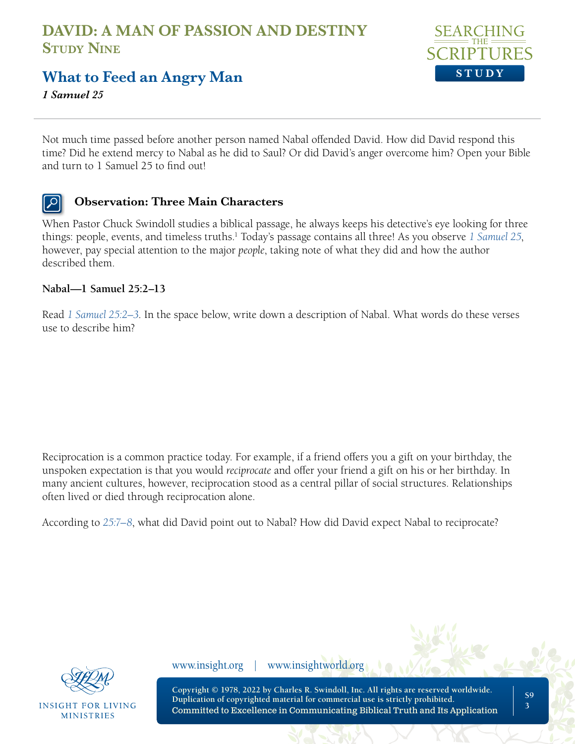

## **What to Feed an Angry Man**

*1 Samuel 25* 

Not much time passed before another person named Nabal offended David. How did David respond this time? Did he extend mercy to Nabal as he did to Saul? Or did David's anger overcome him? Open your Bible and turn to 1 Samuel 25 to find out!

### **Observation: Three Main Characters**

When Pastor Chuck Swindoll studies a biblical passage, he always keeps his detective's eye looking for three things: people, events, and timeless truths.<sup>1</sup> Today's passage contains all three! As you observe [1 Samuel 25](https://www.biblegateway.com/passage/?search=1+Samuel+25+&version=NLT;NASB1995), however, pay special attention to the major *people*, taking note of what they did and how the author described them.

### **Nabal—1 Samuel 25:2–13**

Read *[1 Samuel 25:2–3](https://www.biblegateway.com/passage/?search=1+Samuel+25%3A2-3&version=NLT;NASB1995)*. In the space below, write down a description of Nabal. What words do these verses use to describe him?

Reciprocation is a common practice today. For example, if a friend offers you a gift on your birthday, the unspoken expectation is that you would *reciprocate* and offer your friend a gift on his or her birthday. In many ancient cultures, however, reciprocation stood as a central pillar of social structures. Relationships often lived or died through reciprocation alone.

According to *[25:7–8](https://www.biblegateway.com/passage/?search=1+Samuel+25%3A7%E2%80%938&version=NLT;NASB1995)*, what did David point out to Nabal? How did David expect Nabal to reciprocate?



INSIGHT FOR LIVING **MINISTRIES** 

www.insight.org | www.insightworld.org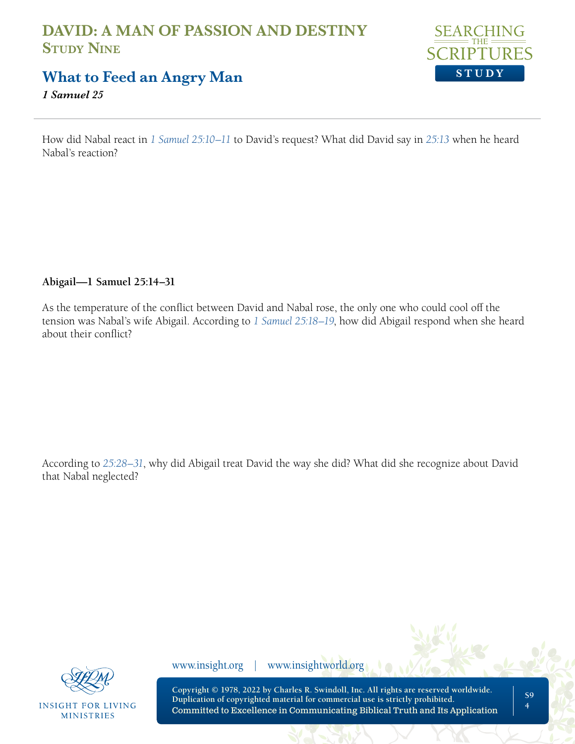

### **What to Feed an Angry Man**

*1 Samuel 25* 

How did Nabal react in *[1 Samuel 25:10–11](https://www.biblegateway.com/passage/?search=1+Samuel+25%3A10%E2%80%9311+&version=NLT;NASB1995)* to David's request? What did David say in *[25:13](https://www.biblegateway.com/passage/?search=1+Samuel+25%3A13&version=NLT;NASB1995)* when he heard Nabal's reaction?

### **Abigail—1 Samuel 25:14–31**

As the temperature of the conflict between David and Nabal rose, the only one who could cool off the tension was Nabal's wife Abigail. According to *[1 Samuel 25:18–19](https://www.biblegateway.com/passage/?search=1+Samuel+25%3A18%E2%80%9319&version=NLT;NASB1995)*, how did Abigail respond when she heard about their conflict?

According to *[25:28–31](https://www.biblegateway.com/passage/?search=1+Samuel+25%3A28%E2%80%9331&version=NLT;NASB1995)*, why did Abigail treat David the way she did? What did she recognize about David that Nabal neglected?



**INSIGHT FOR LIVING MINISTRIES** 

www.insight.org | www.insightworld.org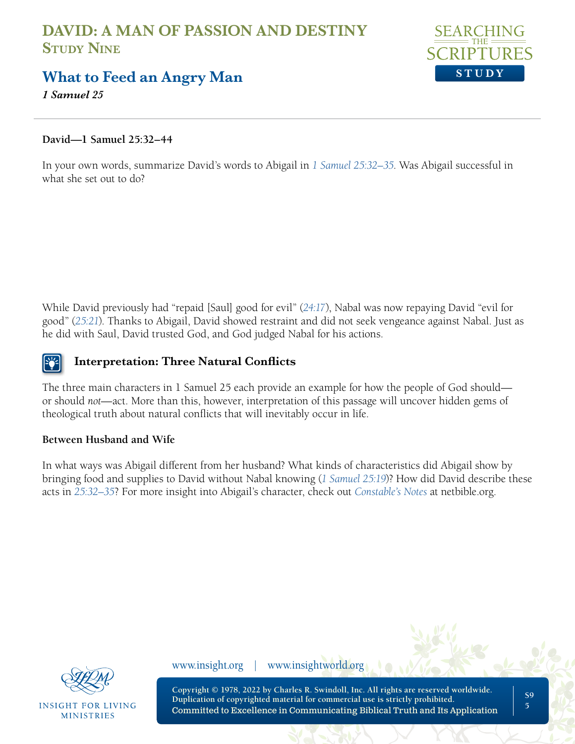

### **What to Feed an Angry Man**

*1 Samuel 25* 

### **David—1 Samuel 25:32–44**

In your own words, summarize David's words to Abigail in *[1 Samuel 25:32–35](https://www.biblegateway.com/passage/?search=1+Samuel+25%3A32%E2%80%9335&version=NLT;NASB1995)*. Was Abigail successful in what she set out to do?

While David previously had "repaid [Saul] good for evil" (*[24:17](https://www.biblegateway.com/passage/?search=1%20Samuel%2024%3A17&version=NLT;NASB1995)*), Nabal was now repaying David "evil for good" (*[25:21](https://www.biblegateway.com/passage/?search=1+Samuel+25%3A21&version=NLT;NASB1995)*). Thanks to Abigail, David showed restraint and did not seek vengeance against Nabal. Just as he did with Saul, David trusted God, and God judged Nabal for his actions.

### **Interpretation: Three Natural Conflicts**

The three main characters in 1 Samuel 25 each provide an example for how the people of God should or should *not*—act. More than this, however, interpretation of this passage will uncover hidden gems of theological truth about natural conflicts that will inevitably occur in life.

### **Between Husband and Wife**

In what ways was Abigail different from her husband? What kinds of characteristics did Abigail show by bringing food and supplies to David without Nabal knowing (*[1 Samuel 25:19](https://www.biblegateway.com/passage/?search=1+Samuel+25%3A19&version=NLT;NASB1995)*)? How did David describe these acts in *[25:32–35](https://www.biblegateway.com/passage/?search=1+Samuel+25%3A32%E2%80%9335&version=NLT;NASB1995)*? For more insight into Abigail's character, check out *[Constable's Notes](https://netbible.org/bible/1+Samuel+25)* at netbible.org.



**INSIGHT FOR LIVING MINISTRIES** 

www.insight.org | www.insightworld.org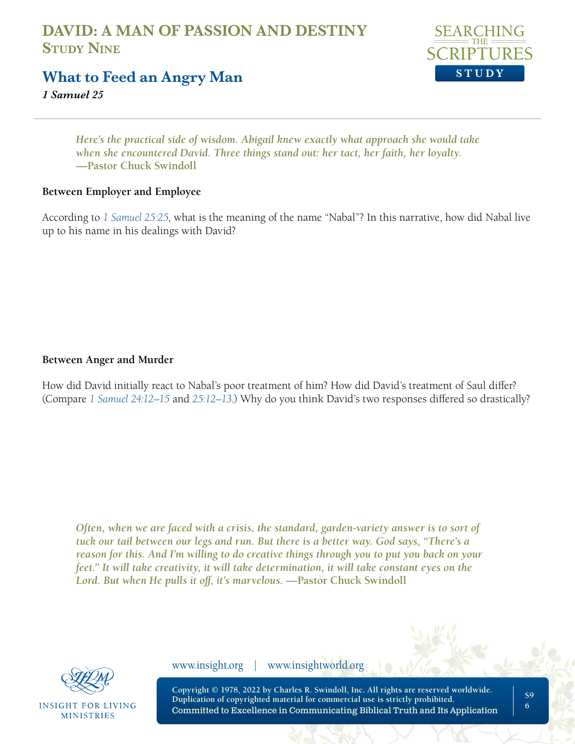

### **What to Feed an Angry Man**

*1 Samuel 25* 

*Here's the practical side of wisdom. Abigail knew exactly what approach she would take when she encountered David. Three things stand out: her tact, her faith, her loyalty.*  **—Pastor Chuck Swindoll**

### **Between Employer and Employee**

According to *[1 Samuel 25:25](https://www.biblegateway.com/passage/?search=1+Samuel+25%3A25&version=NLT;NASB1995)*, what is the meaning of the name "Nabal"? In this narrative, how did Nabal live up to his name in his dealings with David?

### **Between Anger and Murder**

How did David initially react to Nabal's poor treatment of him? How did David's treatment of Saul differ? (Compare *[1 Samuel 24:12–15](https://www.biblegateway.com/passage/?search=1+Samuel+24%3A12%E2%80%9315+&version=NLT;NASB1995)* and *[25:12–13](https://www.biblegateway.com/passage/?search=1+Samuel+25%3A12%E2%80%9313&version=NLT;NASB1995)*.) Why do you think David's two responses differed so drastically?

*Often, when we are faced with a crisis, the standard, garden-variety answer is to sort of tuck our tail between our legs and run. But there is a better way. God says, "There's a reason for this. And I'm willing to do creative things through you to put you back on your feet." It will take creativity, it will take determination, it will take constant eyes on the*  Lord. But when He pulls it off, it's marvelous. **—Pastor Chuck Swindoll** 



**INSIGHT FOR LIVING MINISTRIES** 

www.insight.org | www.insightworld.org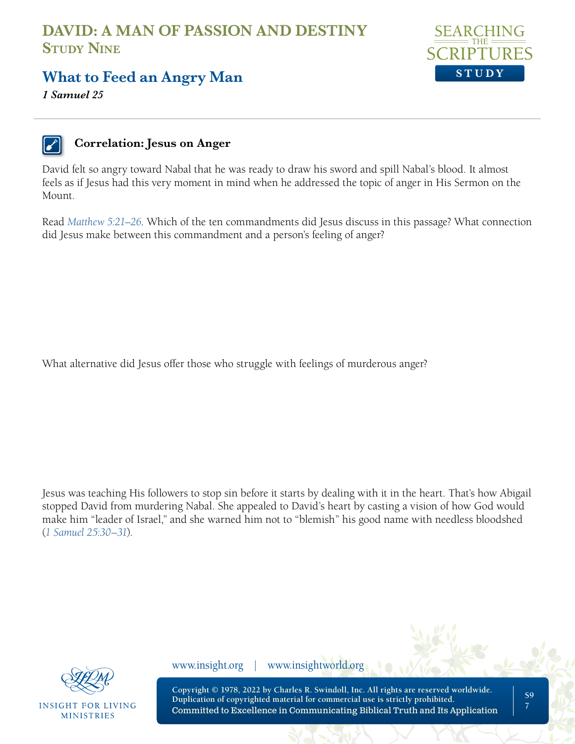

## **What to Feed an Angry Man**

*1 Samuel 25* 

### **Correlation: Jesus on Anger**

David felt so angry toward Nabal that he was ready to draw his sword and spill Nabal's blood. It almost feels as if Jesus had this very moment in mind when he addressed the topic of anger in His Sermon on the Mount.

Read *[Matthew 5:21–26](https://www.biblegateway.com/passage/?search=Matthew+5%3A21%E2%80%9326&version=NLT;NASB1995)*. Which of the ten commandments did Jesus discuss in this passage? What connection did Jesus make between this commandment and a person's feeling of anger?

What alternative did Jesus offer those who struggle with feelings of murderous anger?

Jesus was teaching His followers to stop sin before it starts by dealing with it in the heart. That's how Abigail stopped David from murdering Nabal. She appealed to David's heart by casting a vision of how God would make him "leader of Israel," and she warned him not to "blemish" his good name with needless bloodshed (*[1 Samuel 25:30–31](https://www.biblegateway.com/passage/?search=1%20Samuel%2025%3A30%E2%80%9331&version=NLT;NASB1995)*).



**INSIGHT FOR LIVING MINISTRIES** 

www.insight.org | www.insightworld.org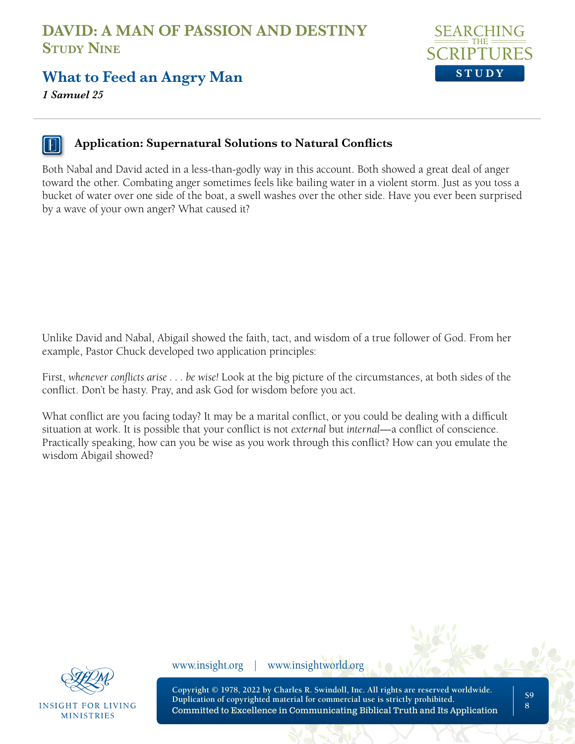

**What to Feed an Angry Man**

*1 Samuel 25* 

### **Application: Supernatural Solutions to Natural Conflicts**

Both Nabal and David acted in a less-than-godly way in this account. Both showed a great deal of anger toward the other. Combating anger sometimes feels like bailing water in a violent storm. Just as you toss a bucket of water over one side of the boat, a swell washes over the other side. Have you ever been surprised by a wave of your own anger? What caused it?

Unlike David and Nabal, Abigail showed the faith, tact, and wisdom of a true follower of God. From her example, Pastor Chuck developed two application principles:

First, *whenever conflicts arise . . . be wise!* Look at the big picture of the circumstances, at both sides of the conflict. Don't be hasty. Pray, and ask God for wisdom before you act.

What conflict are you facing today? It may be a marital conflict, or you could be dealing with a difficult situation at work. It is possible that your conflict is not *external* but *internal*—a conflict of conscience. Practically speaking, how can you be wise as you work through this conflict? How can you emulate the wisdom Abigail showed?



**INSIGHT FOR LIVING MINISTRIES** 

www.insight.org | www.insightworld.org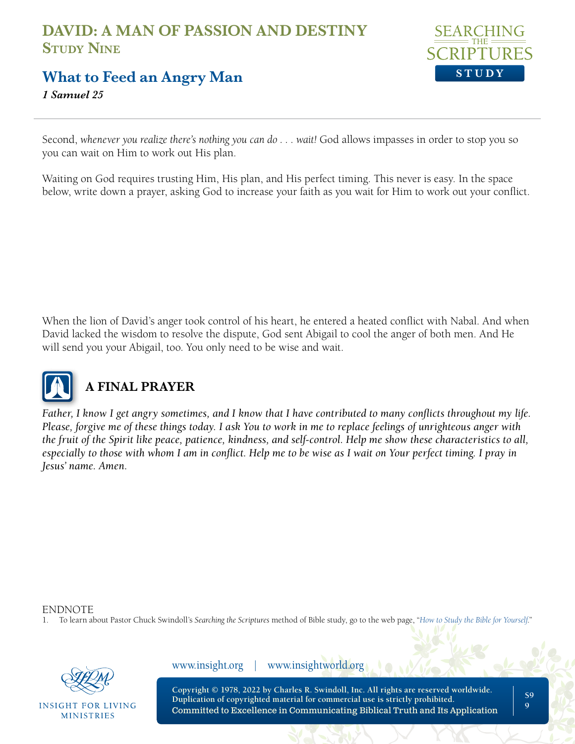

### **What to Feed an Angry Man**

*1 Samuel 25* 

Second, whenever you realize there's nothing you can do . . . wait! God allows impasses in order to stop you so you can wait on Him to work out His plan.

Waiting on God requires trusting Him, His plan, and His perfect timing. This never is easy. In the space below, write down a prayer, asking God to increase your faith as you wait for Him to work out your conflict.

When the lion of David's anger took control of his heart, he entered a heated conflict with Nabal. And when David lacked the wisdom to resolve the dispute, God sent Abigail to cool the anger of both men. And He will send you your Abigail, too. You only need to be wise and wait.



## **A FINAL PRAYER**

*Father, I know I get angry sometimes, and I know that I have contributed to many conflicts throughout my life. Please, forgive me of these things today. I ask You to work in me to replace feelings of unrighteous anger with the fruit of the Spirit like peace, patience, kindness, and self-control. Help me show these characteristics to all,*  especially to those with whom I am in conflict. Help me to be wise as I wait on Your perfect timing. I pray in *Jesus' name. Amen.*

ENDNOTE

1. To learn about Pastor Chuck Swindoll's *Searching the Scriptures* method of Bible study, go to the web page, "*[How to Study the Bible for Yourself](https://sts.insight.org/)*."



**INSIGHT FOR LIVING MINISTRIES** 

www.insight.org | www.insightworld.org